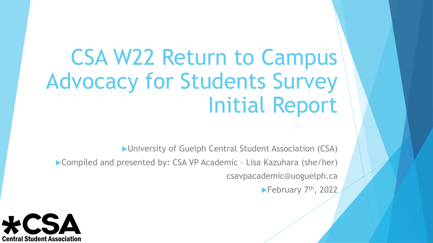# CSA W22 Return to Campus Advocacy for Students Survey Initial Report

▶ University of Guelph Central Student Association (CSA)

▶ Compiled and presented by: CSA VP Academic - Lisa Kazuhara (she/her) csavpacademic@uoguelph.ca

February  $7<sup>th</sup>$ , 2022

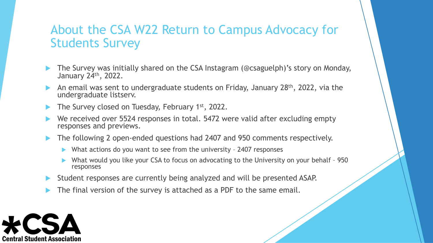### About the CSA W22 Return to Campus Advocacy for Students Survey

- The Survey was initially shared on the CSA Instagram (@csaguelph)'s story on Monday, January 24th, 2022.
- An email was sent to undergraduate students on Friday, January 28<sup>th</sup>, 2022, via the undergraduate listserv.
- The Survey closed on Tuesday, February 1st, 2022.
- We received over 5524 responses in total. 5472 were valid after excluding empty responses and previews.
- The following 2 open-ended questions had 2407 and 950 comments respectively.
	- What actions do you want to see from the university 2407 responses
	- What would you like your CSA to focus on advocating to the University on your behalf 950 responses
- Student responses are currently being analyzed and will be presented ASAP.
- The final version of the survey is attached as a PDF to the same email.

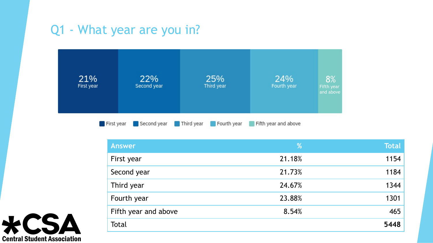### Q1 - What year are you in?



| <b>Answer</b>        | %      | <b>Total</b> |
|----------------------|--------|--------------|
| First year           | 21.18% | 1154         |
| Second year          | 21.73% | 1184         |
| Third year           | 24.67% | 1344         |
| Fourth year          | 23.88% | 1301         |
| Fifth year and above | 8.54%  | 465          |
| Total                |        | 5448         |

CSA **Central Student Association**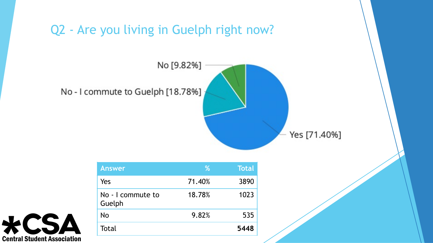



| <b>Answer</b>               | %      | <b>Total</b> |
|-----------------------------|--------|--------------|
| Yes                         | 71.40% | 3890         |
| No - I commute to<br>Guelph | 18.78% | 1023         |
| No                          | 9.82%  | 535          |
| Total                       |        | 5448         |

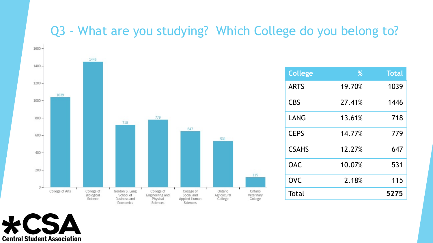### Q3 - What are you studying? Which College do you belong to?



| <b>College</b> | %      | <b>Total</b> |
|----------------|--------|--------------|
| <b>ARTS</b>    | 19.70% | 1039         |
| <b>CBS</b>     | 27.41% | 1446         |
| LANG           | 13.61% | 718          |
| <b>CEPS</b>    | 14.77% | 779          |
| <b>CSAHS</b>   | 12.27% | 647          |
| <b>OAC</b>     | 10.07% | 531          |
| <b>OVC</b>     | 2.18%  | 115          |
| Total          |        | 5275         |

**Central Student Association**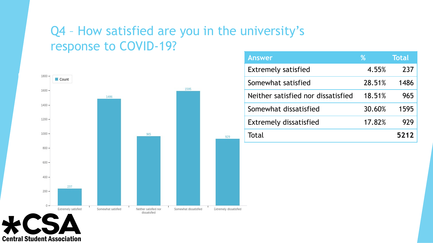### Q4 – How satisfied are you in the university's response to COVID-19?



| <b>Answer</b>                      | %      | <b>Total</b> |
|------------------------------------|--------|--------------|
| <b>Extremely satisfied</b>         | 4.55%  | 237          |
| Somewhat satisfied                 | 28.51% | 1486         |
| Neither satisfied nor dissatisfied | 18.51% | 965          |
| Somewhat dissatisfied              | 30.60% | 1595         |
| <b>Extremely dissatisfied</b>      | 17.82% | 929          |
| Total                              |        | 521          |

**Central Student Association**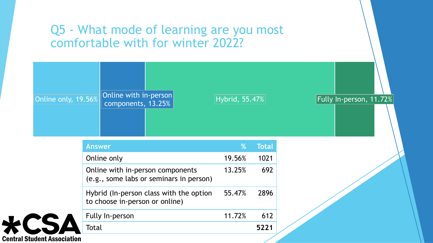### Q5 - What mode of learning are you most comfortable with for winter 2022?



**Central Student Association**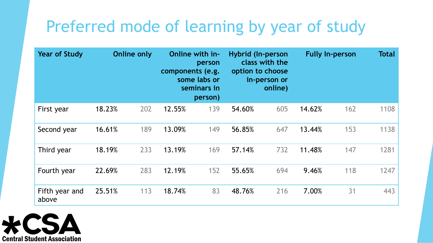## Preferred mode of learning by year of study

| <b>Year of Study</b>    |        | <b>Online only</b> | components (e.g. | Online with in-<br>person<br>some labs or<br>seminars in<br>person) | <b>Hybrid (In-person</b><br>option to choose | class with the<br>in-person or<br>online) |        | <b>Fully In-person</b> | <b>Total</b> |
|-------------------------|--------|--------------------|------------------|---------------------------------------------------------------------|----------------------------------------------|-------------------------------------------|--------|------------------------|--------------|
| First year              | 18.23% | 202                | 12.55%           | 139                                                                 | 54.60%                                       | 605                                       | 14.62% | 162                    | 1108         |
| Second year             | 16.61% | 189                | 13.09%           | 149                                                                 | 56.85%                                       | 647                                       | 13.44% | 153                    | 1138         |
| Third year              | 18.19% | 233                | 13.19%           | 169                                                                 | 57.14%                                       | 732                                       | 11.48% | 147                    | 1281         |
| Fourth year             | 22.69% | 283                | 12.19%           | 152                                                                 | 55.65%                                       | 694                                       | 9.46%  | 118                    | 1247         |
| Fifth year and<br>above | 25.51% | 113                | 18.74%           | 83                                                                  | 48.76%                                       | 216                                       | 7.00%  | 31                     | 443          |

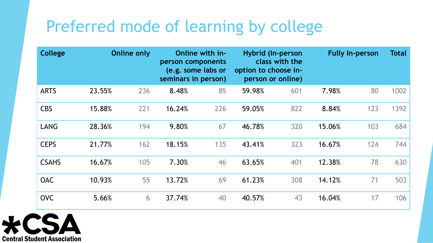### Preferred mode of learning by college

| <b>College</b> |        | <b>Online only</b> | person components<br>(e.g. some labs or<br>seminars in person) | Online with in- | option to choose in- | <b>Hybrid (In-person</b><br>class with the<br>person or online) |        | <b>Fully In-person</b> | <b>Total</b> |
|----------------|--------|--------------------|----------------------------------------------------------------|-----------------|----------------------|-----------------------------------------------------------------|--------|------------------------|--------------|
| <b>ARTS</b>    | 23.55% | 236                | 8.48%                                                          | 85              | 59.98%               | 601                                                             | 7.98%  | 80                     | 1002         |
| <b>CBS</b>     | 15.88% | 221                | 16.24%                                                         | 226             | 59.05%               | 822                                                             | 8.84%  | 123                    | 1392         |
| <b>LANG</b>    | 28.36% | 194                | 9.80%                                                          | 67              | 46.78%               | 320                                                             | 15.06% | 103                    | 684          |
| <b>CEPS</b>    | 21.77% | 162                | 18.15%                                                         | 135             | 43.41%               | 323                                                             | 16.67% | 124                    | 744          |
| <b>CSAHS</b>   | 16.67% | 105                | 7.30%                                                          | 46              | 63.65%               | 401                                                             | 12.38% | 78                     | 630          |
| <b>OAC</b>     | 10.93% | 55                 | 13.72%                                                         | 69              | 61.23%               | 308                                                             | 14.12% | 71                     | 503          |
| <b>OVC</b>     | 5.66%  | 6                  | 37.74%                                                         | 40              | 40.57%               | 43                                                              | 16.04% | 17                     | 106          |

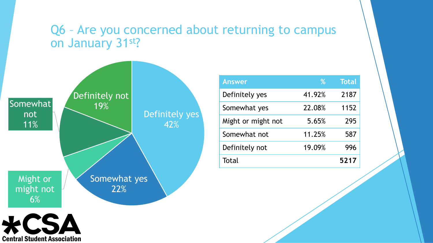#### Q6 – Are you concerned about returning to campus on January 31st?



| <b>Answer</b>      | %      | <b>Total</b> |
|--------------------|--------|--------------|
| Definitely yes     | 41.92% | 2187         |
| Somewhat yes       | 22.08% | 1152         |
| Might or might not | 5.65%  | 295          |
| Somewhat not       | 11.25% | 587          |
| Definitely not     | 19.09% | 996          |
| Total              |        | 5217         |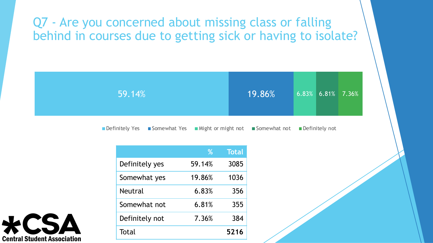### Q7 - Are you concerned about missing class or falling behind in courses due to getting sick or having to isolate?



■ Definitely Yes ■ Somewhat Yes ■ Might or might not ■ Somewhat not ■ Definitely not

|                | %      | <b>Total</b> |
|----------------|--------|--------------|
| Definitely yes | 59.14% | 3085         |
| Somewhat yes   | 19.86% | 1036         |
| <b>Neutral</b> | 6.83%  | 356          |
| Somewhat not   | 6.81%  | 355          |
| Definitely not | 7.36%  | 384          |
| Total          |        | 5216         |

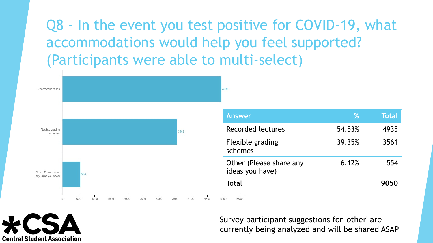Q8 - In the event you test positive for COVID-19, what accommodations would help you feel supported? (Participants were able to multi-select)



**Central Student Association** 

Survey participant suggestions for 'other' are currently being analyzed and will be shared ASAP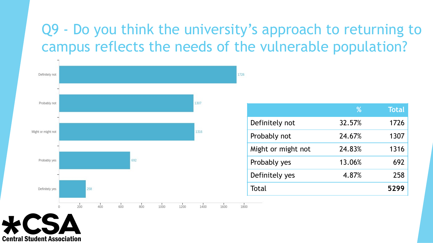### Q9 - Do you think the university's approach to returning to campus reflects the needs of the vulnerable population?



|                    | %      | <b>Total</b> |
|--------------------|--------|--------------|
| Definitely not     | 32.57% | 1726         |
| Probably not       | 24.67% | 1307         |
| Might or might not | 24.83% | 1316         |
| Probably yes       | 13.06% | 692          |
| Definitely yes     | 4.87%  | 258          |
| Total              |        | 5299         |

**Central Student Association**